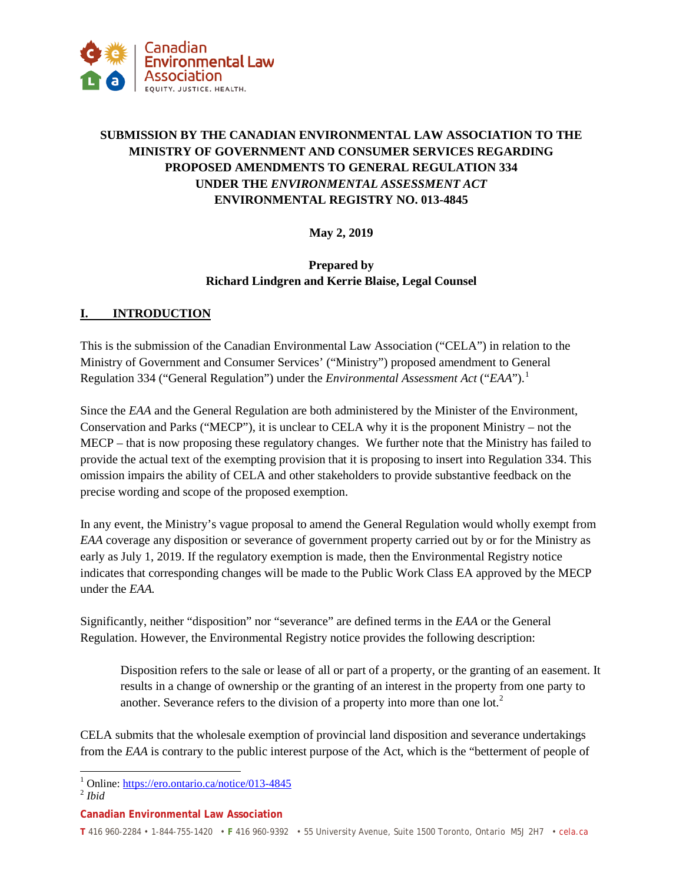

# **SUBMISSION BY THE CANADIAN ENVIRONMENTAL LAW ASSOCIATION TO THE MINISTRY OF GOVERNMENT AND CONSUMER SERVICES REGARDING PROPOSED AMENDMENTS TO GENERAL REGULATION 334 UNDER THE** *ENVIRONMENTAL ASSESSMENT ACT* **ENVIRONMENTAL REGISTRY NO. 013-4845**

## **May 2, 2019**

#### **Prepared by Richard Lindgren and Kerrie Blaise, Legal Counsel**

#### **I. INTRODUCTION**

This is the submission of the Canadian Environmental Law Association ("CELA") in relation to the Ministry of Government and Consumer Services' ("Ministry") proposed amendment to General Regulation 334 ("General Regulation") under the *Environmental Assessment Act* ("*EAA*").[1](#page-0-0)

Since the *EAA* and the General Regulation are both administered by the Minister of the Environment, Conservation and Parks ("MECP"), it is unclear to CELA why it is the proponent Ministry – not the MECP – that is now proposing these regulatory changes. We further note that the Ministry has failed to provide the actual text of the exempting provision that it is proposing to insert into Regulation 334. This omission impairs the ability of CELA and other stakeholders to provide substantive feedback on the precise wording and scope of the proposed exemption.

In any event, the Ministry's vague proposal to amend the General Regulation would wholly exempt from *EAA* coverage any disposition or severance of government property carried out by or for the Ministry as early as July 1, 2019. If the regulatory exemption is made, then the Environmental Registry notice indicates that corresponding changes will be made to the Public Work Class EA approved by the MECP under the *EAA.*

Significantly, neither "disposition" nor "severance" are defined terms in the *EAA* or the General Regulation. However, the Environmental Registry notice provides the following description:

Disposition refers to the sale or lease of all or part of a property, or the granting of an easement. It results in a change of ownership or the granting of an interest in the property from one party to another. Severance refers to the division of a property into more than one lot.<sup>[2](#page-0-1)</sup>

CELA submits that the wholesale exemption of provincial land disposition and severance undertakings from the *EAA* is contrary to the public interest purpose of the Act, which is the "betterment of people of

#### **Canadian Environmental Law Association**

**T** 416 960-2284 • 1-844-755-1420 • **F** 416 960-9392 • 55 University Avenue, Suite 1500 Toronto, Ontario M5J 2H7 • cela.ca

<span id="page-0-0"></span><sup>1</sup> Online:<https://ero.ontario.ca/notice/013-4845> <sup>2</sup> *Ibid*

<span id="page-0-1"></span>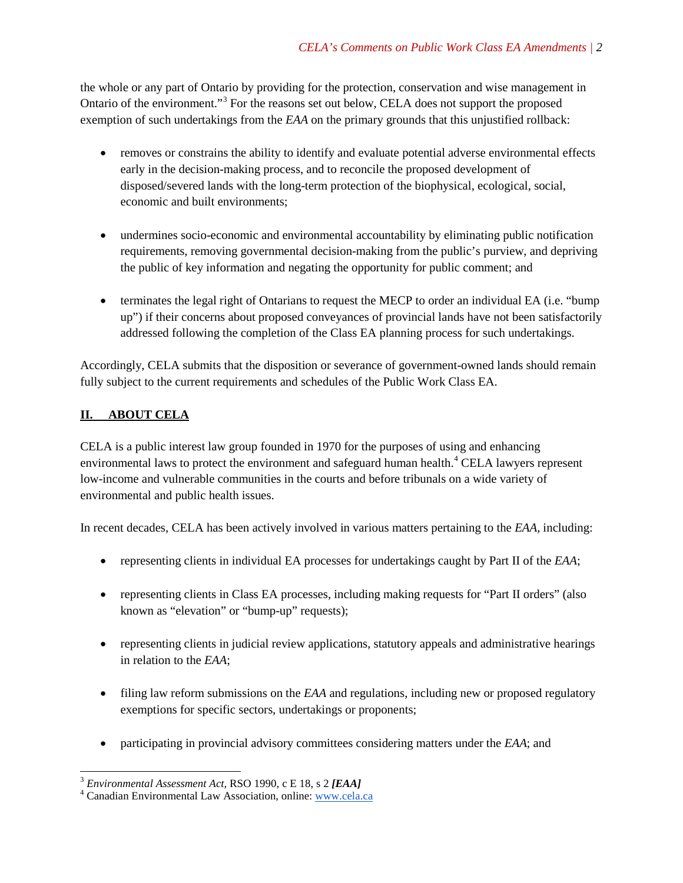the whole or any part of Ontario by providing for the protection, conservation and wise management in Ontario of the environment."[3](#page-1-0) For the reasons set out below, CELA does not support the proposed exemption of such undertakings from the *EAA* on the primary grounds that this unjustified rollback:

- removes or constrains the ability to identify and evaluate potential adverse environmental effects early in the decision-making process, and to reconcile the proposed development of disposed/severed lands with the long-term protection of the biophysical, ecological, social, economic and built environments;
- undermines socio-economic and environmental accountability by eliminating public notification requirements, removing governmental decision-making from the public's purview, and depriving the public of key information and negating the opportunity for public comment; and
- terminates the legal right of Ontarians to request the MECP to order an individual EA (i.e. "bump" up") if their concerns about proposed conveyances of provincial lands have not been satisfactorily addressed following the completion of the Class EA planning process for such undertakings.

Accordingly, CELA submits that the disposition or severance of government-owned lands should remain fully subject to the current requirements and schedules of the Public Work Class EA.

# **II. ABOUT CELA**

CELA is a public interest law group founded in 1970 for the purposes of using and enhancing environmental laws to protect the environment and safeguard human health.<sup>[4](#page-1-1)</sup> CELA lawyers represent low-income and vulnerable communities in the courts and before tribunals on a wide variety of environmental and public health issues.

In recent decades, CELA has been actively involved in various matters pertaining to the *EAA*, including:

- representing clients in individual EA processes for undertakings caught by Part II of the *EAA*;
- representing clients in Class EA processes, including making requests for "Part II orders" (also known as "elevation" or "bump-up" requests);
- representing clients in judicial review applications, statutory appeals and administrative hearings in relation to the *EAA*;
- filing law reform submissions on the *EAA* and regulations, including new or proposed regulatory exemptions for specific sectors, undertakings or proponents;
- participating in provincial advisory committees considering matters under the *EAA*; and

<span id="page-1-0"></span><sup>&</sup>lt;sup>3</sup> *Environmental Assessment Act*, *RSO 1990*, c E 18, s 2 *[EAA]* <sup>4</sup> Canadian Environmental Law Association, online[: www.cela.ca](http://www.cela.ca/)

<span id="page-1-1"></span>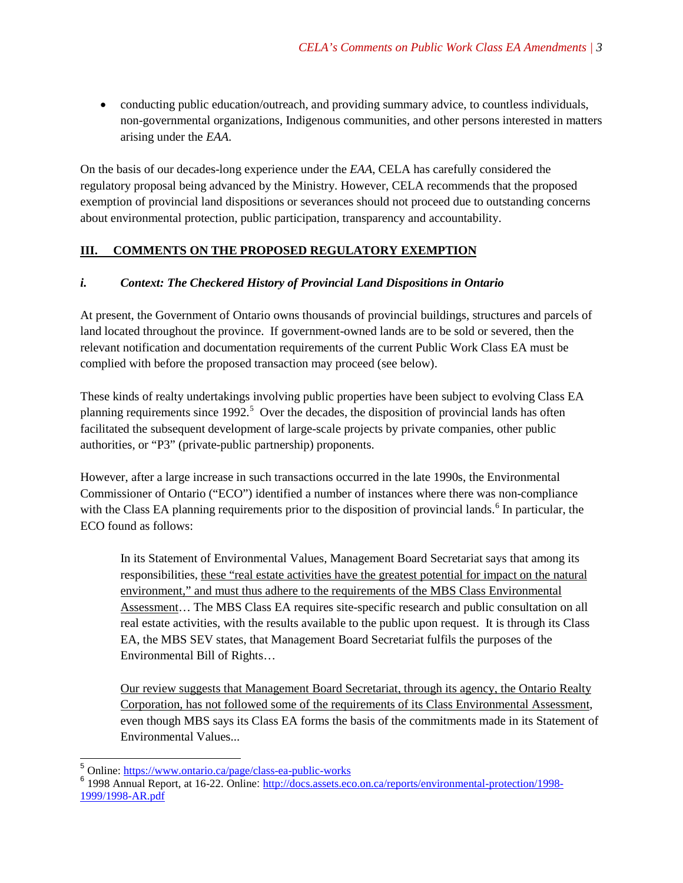• conducting public education/outreach, and providing summary advice, to countless individuals, non-governmental organizations, Indigenous communities, and other persons interested in matters arising under the *EAA*.

On the basis of our decades-long experience under the *EAA*, CELA has carefully considered the regulatory proposal being advanced by the Ministry. However, CELA recommends that the proposed exemption of provincial land dispositions or severances should not proceed due to outstanding concerns about environmental protection, public participation, transparency and accountability.

## **III. COMMENTS ON THE PROPOSED REGULATORY EXEMPTION**

### *i. Context: The Checkered History of Provincial Land Dispositions in Ontario*

At present, the Government of Ontario owns thousands of provincial buildings, structures and parcels of land located throughout the province. If government-owned lands are to be sold or severed, then the relevant notification and documentation requirements of the current Public Work Class EA must be complied with before the proposed transaction may proceed (see below).

These kinds of realty undertakings involving public properties have been subject to evolving Class EA planning requirements since  $1992$ <sup>[5](#page-2-0)</sup>. Over the decades, the disposition of provincial lands has often facilitated the subsequent development of large-scale projects by private companies, other public authorities, or "P3" (private-public partnership) proponents.

However, after a large increase in such transactions occurred in the late 1990s, the Environmental Commissioner of Ontario ("ECO") identified a number of instances where there was non-compliance with the Class EA planning requirements prior to the disposition of provincial lands.<sup>[6](#page-2-1)</sup> In particular, the ECO found as follows:

In its Statement of Environmental Values, Management Board Secretariat says that among its responsibilities, these "real estate activities have the greatest potential for impact on the natural environment," and must thus adhere to the requirements of the MBS Class Environmental Assessment... The MBS Class EA requires site-specific research and public consultation on all real estate activities, with the results available to the public upon request. It is through its Class EA, the MBS SEV states, that Management Board Secretariat fulfils the purposes of the Environmental Bill of Rights…

Our review suggests that Management Board Secretariat, through its agency, the Ontario Realty Corporation, has not followed some of the requirements of its Class Environmental Assessment, even though MBS says its Class EA forms the basis of the commitments made in its Statement of Environmental Values...

<span id="page-2-0"></span> <sup>5</sup> Online: <https://www.ontario.ca/page/class-ea-public-works>

<span id="page-2-1"></span><sup>6</sup> 1998 Annual Report, at 16-22. Online: [http://docs.assets.eco.on.ca/reports/environmental-protection/1998-](http://docs.assets.eco.on.ca/reports/environmental-protection/1998-1999/1998-AR.pdf) [1999/1998-AR.pdf](http://docs.assets.eco.on.ca/reports/environmental-protection/1998-1999/1998-AR.pdf)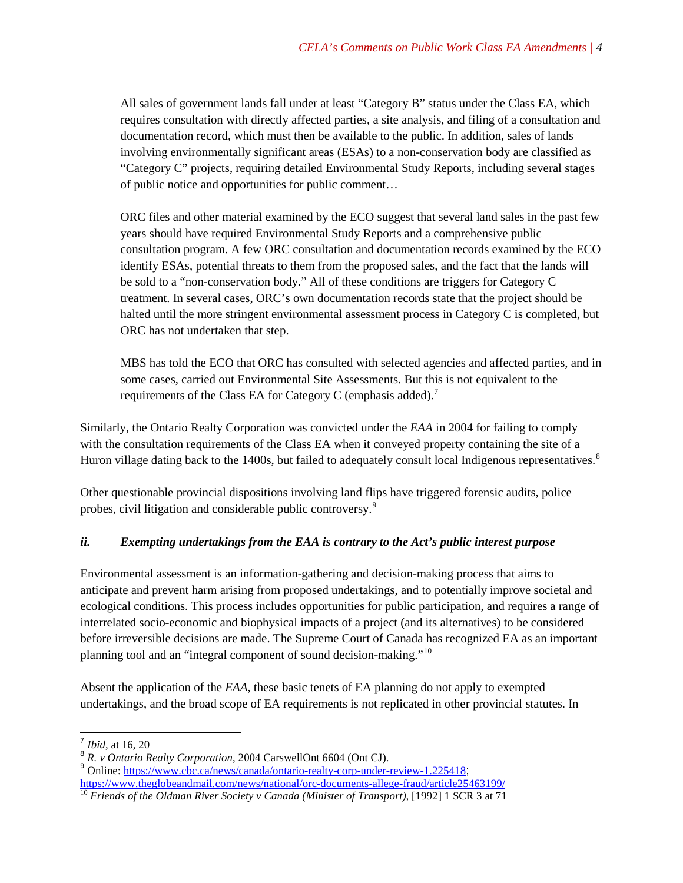All sales of government lands fall under at least "Category B" status under the Class EA, which requires consultation with directly affected parties, a site analysis, and filing of a consultation and documentation record, which must then be available to the public. In addition, sales of lands involving environmentally significant areas (ESAs) to a non-conservation body are classified as "Category C" projects, requiring detailed Environmental Study Reports, including several stages of public notice and opportunities for public comment…

ORC files and other material examined by the ECO suggest that several land sales in the past few years should have required Environmental Study Reports and a comprehensive public consultation program. A few ORC consultation and documentation records examined by the ECO identify ESAs, potential threats to them from the proposed sales, and the fact that the lands will be sold to a "non-conservation body." All of these conditions are triggers for Category C treatment. In several cases, ORC's own documentation records state that the project should be halted until the more stringent environmental assessment process in Category C is completed, but ORC has not undertaken that step.

MBS has told the ECO that ORC has consulted with selected agencies and affected parties, and in some cases, carried out Environmental Site Assessments. But this is not equivalent to the requirements of the Class EA for Category C (emphasis added).<sup>[7](#page-3-0)</sup>

Similarly, the Ontario Realty Corporation was convicted under the *EAA* in 2004 for failing to comply with the consultation requirements of the Class EA when it conveyed property containing the site of a Huron village dating back to the 1400s, but failed to adequately consult local Indigenous representatives.<sup>[8](#page-3-1)</sup>

Other questionable provincial dispositions involving land flips have triggered forensic audits, police probes, civil litigation and considerable public controversy.[9](#page-3-2)

### *ii. Exempting undertakings from the EAA is contrary to the Act's public interest purpose*

Environmental assessment is an information-gathering and decision-making process that aims to anticipate and prevent harm arising from proposed undertakings, and to potentially improve societal and ecological conditions. This process includes opportunities for public participation, and requires a range of interrelated socio-economic and biophysical impacts of a project (and its alternatives) to be considered before irreversible decisions are made. The Supreme Court of Canada has recognized EA as an important planning tool and an "integral component of sound decision-making."[10](#page-3-3)

Absent the application of the *EAA*, these basic tenets of EA planning do not apply to exempted undertakings, and the broad scope of EA requirements is not replicated in other provincial statutes. In

 <sup>7</sup> *Ibid*, at 16, 20

<span id="page-3-1"></span><span id="page-3-0"></span><sup>8</sup> *R. v Ontario Realty Corporation*, 2004 CarswellOnt 6604 (Ont CJ).

<span id="page-3-2"></span><sup>9&</sup>lt;br>
9 Online: <https://www.cbc.ca/news/canada/ontario-realty-corp-under-review-1.225418>;<br>
https://www.theglobeandmail.com/news/national/orc-documents-allege-fraud/article25463199/

<span id="page-3-3"></span><sup>&</sup>lt;sup>10</sup> Friends of the Oldman River Society v Canada (Minister of Transport), [1992] 1 SCR 3 at 71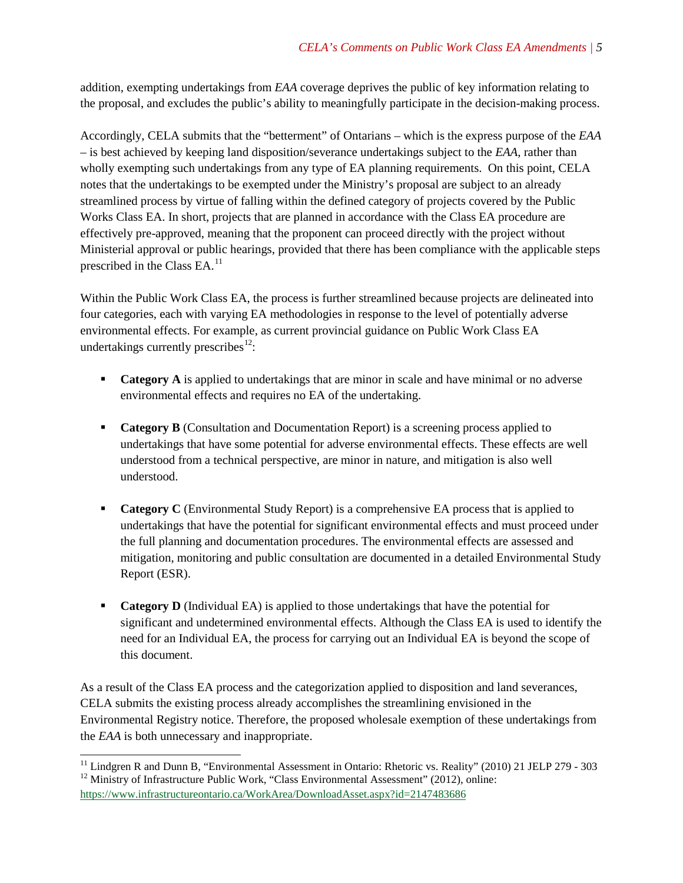addition, exempting undertakings from *EAA* coverage deprives the public of key information relating to the proposal, and excludes the public's ability to meaningfully participate in the decision-making process.

Accordingly, CELA submits that the "betterment" of Ontarians – which is the express purpose of the *EAA* – is best achieved by keeping land disposition/severance undertakings subject to the *EAA*, rather than wholly exempting such undertakings from any type of EA planning requirements. On this point, CELA notes that the undertakings to be exempted under the Ministry's proposal are subject to an already streamlined process by virtue of falling within the defined category of projects covered by the Public Works Class EA. In short, projects that are planned in accordance with the Class EA procedure are effectively pre-approved, meaning that the proponent can proceed directly with the project without Ministerial approval or public hearings, provided that there has been compliance with the applicable steps prescribed in the Class EA.<sup>11</sup>

Within the Public Work Class EA, the process is further streamlined because projects are delineated into four categories, each with varying EA methodologies in response to the level of potentially adverse environmental effects. For example, as current provincial guidance on Public Work Class EA undertakings currently prescribes $^{12}$  $^{12}$  $^{12}$ :

- **Category A** is applied to undertakings that are minor in scale and have minimal or no adverse environmental effects and requires no EA of the undertaking.
- **Category B** (Consultation and Documentation Report) is a screening process applied to undertakings that have some potential for adverse environmental effects. These effects are well understood from a technical perspective, are minor in nature, and mitigation is also well understood.
- **Category C** (Environmental Study Report) is a comprehensive EA process that is applied to undertakings that have the potential for significant environmental effects and must proceed under the full planning and documentation procedures. The environmental effects are assessed and mitigation, monitoring and public consultation are documented in a detailed Environmental Study Report (ESR).
- **Category D** (Individual EA) is applied to those undertakings that have the potential for significant and undetermined environmental effects. Although the Class EA is used to identify the need for an Individual EA, the process for carrying out an Individual EA is beyond the scope of this document.

As a result of the Class EA process and the categorization applied to disposition and land severances, CELA submits the existing process already accomplishes the streamlining envisioned in the Environmental Registry notice. Therefore, the proposed wholesale exemption of these undertakings from the *EAA* is both unnecessary and inappropriate.

<span id="page-4-0"></span><sup>&</sup>lt;sup>11</sup> Lindgren R and Dunn B, "Environmental Assessment in Ontario: Rhetoric vs. Reality" (2010) 21 JELP 279 - 303<sup>12</sup> Ministry of Infrastructure Public Work, "Class Environmental Assessment" (2012), online:

<span id="page-4-1"></span><https://www.infrastructureontario.ca/WorkArea/DownloadAsset.aspx?id=2147483686>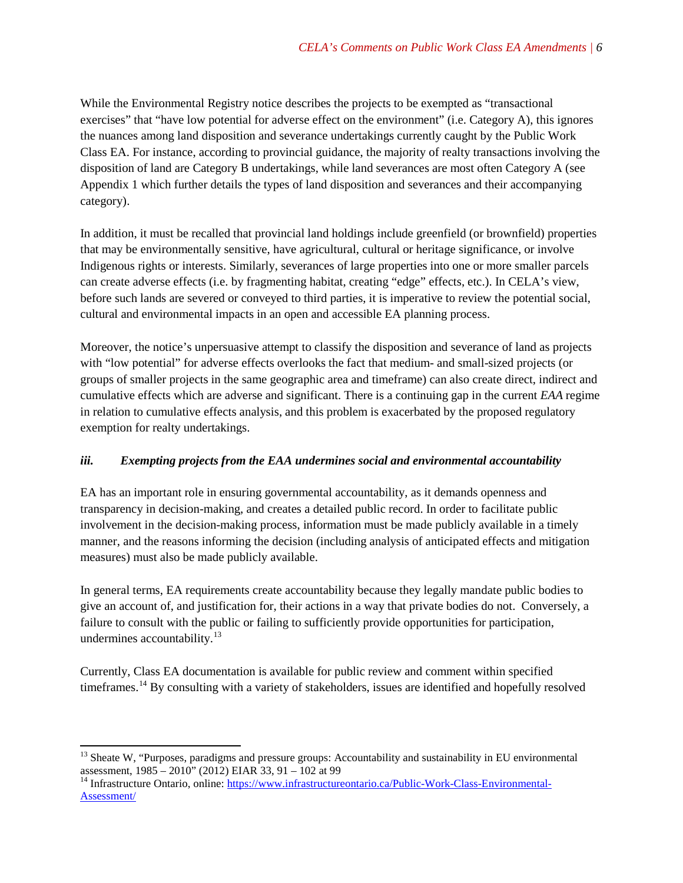While the Environmental Registry notice describes the projects to be exempted as "transactional exercises" that "have low potential for adverse effect on the environment" (i.e. Category A), this ignores the nuances among land disposition and severance undertakings currently caught by the Public Work Class EA. For instance, according to provincial guidance, the majority of realty transactions involving the disposition of land are Category B undertakings, while land severances are most often Category A (see Appendix 1 which further details the types of land disposition and severances and their accompanying category).

In addition, it must be recalled that provincial land holdings include greenfield (or brownfield) properties that may be environmentally sensitive, have agricultural, cultural or heritage significance, or involve Indigenous rights or interests. Similarly, severances of large properties into one or more smaller parcels can create adverse effects (i.e. by fragmenting habitat, creating "edge" effects, etc.). In CELA's view, before such lands are severed or conveyed to third parties, it is imperative to review the potential social, cultural and environmental impacts in an open and accessible EA planning process.

Moreover, the notice's unpersuasive attempt to classify the disposition and severance of land as projects with "low potential" for adverse effects overlooks the fact that medium- and small-sized projects (or groups of smaller projects in the same geographic area and timeframe) can also create direct, indirect and cumulative effects which are adverse and significant. There is a continuing gap in the current *EAA* regime in relation to cumulative effects analysis, and this problem is exacerbated by the proposed regulatory exemption for realty undertakings.

### *iii. Exempting projects from the EAA undermines social and environmental accountability*

EA has an important role in ensuring governmental accountability, as it demands openness and transparency in decision-making, and creates a detailed public record. In order to facilitate public involvement in the decision-making process, information must be made publicly available in a timely manner, and the reasons informing the decision (including analysis of anticipated effects and mitigation measures) must also be made publicly available.

In general terms, EA requirements create accountability because they legally mandate public bodies to give an account of, and justification for, their actions in a way that private bodies do not. Conversely, a failure to consult with the public or failing to sufficiently provide opportunities for participation, undermines accountability. $13$ 

Currently, Class EA documentation is available for public review and comment within specified timeframes.<sup>[14](#page-5-1)</sup> By consulting with a variety of stakeholders, issues are identified and hopefully resolved

<span id="page-5-0"></span> $13$  Sheate W, "Purposes, paradigms and pressure groups: Accountability and sustainability in EU environmental assessment,  $1985 - 2010$ " (2012) EIAR 33, 91 – 102 at 99<br><sup>14</sup> Infrastructure Ontario, online[: https://www.infrastructureontario.ca/Public-Work-Class-Environmental-](https://www.infrastructureontario.ca/Public-Work-Class-Environmental-Assessment/)

<span id="page-5-1"></span>[Assessment/](https://www.infrastructureontario.ca/Public-Work-Class-Environmental-Assessment/)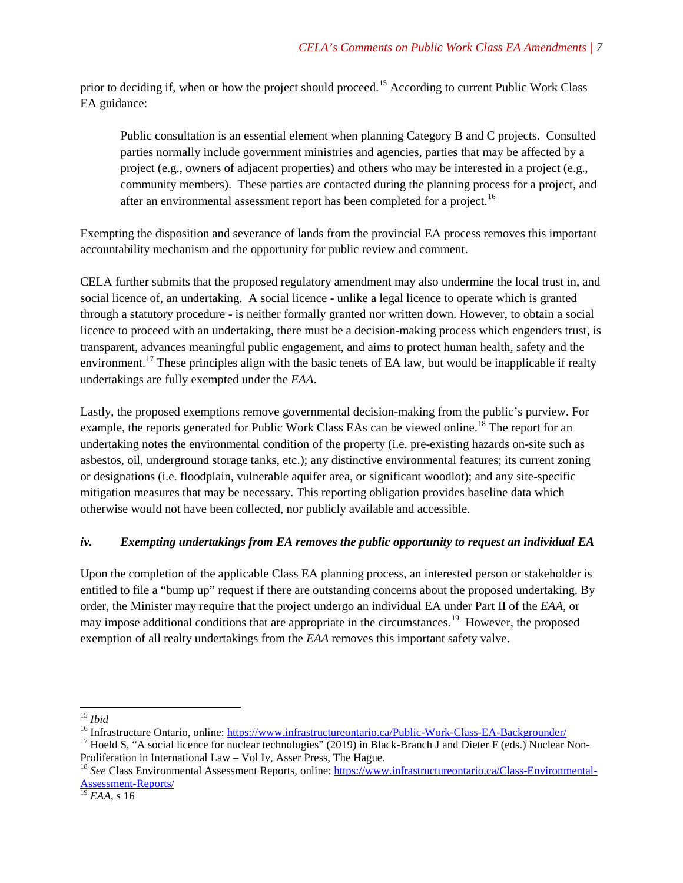prior to deciding if, when or how the project should proceed.<sup>[15](#page-6-0)</sup> According to current Public Work Class EA guidance:

Public consultation is an essential element when planning Category B and C projects. Consulted parties normally include government ministries and agencies, parties that may be affected by a project (e.g., owners of adjacent properties) and others who may be interested in a project (e.g., community members). These parties are contacted during the planning process for a project, and after an environmental assessment report has been completed for a project.<sup>[16](#page-6-1)</sup>

Exempting the disposition and severance of lands from the provincial EA process removes this important accountability mechanism and the opportunity for public review and comment.

CELA further submits that the proposed regulatory amendment may also undermine the local trust in, and social licence of, an undertaking. A social licence - unlike a legal licence to operate which is granted through a statutory procedure - is neither formally granted nor written down. However, to obtain a social licence to proceed with an undertaking, there must be a decision-making process which engenders trust, is transparent, advances meaningful public engagement, and aims to protect human health, safety and the environment.<sup>[17](#page-6-2)</sup> These principles align with the basic tenets of EA law, but would be inapplicable if realty undertakings are fully exempted under the *EAA*.

Lastly, the proposed exemptions remove governmental decision-making from the public's purview. For example, the reports generated for Public Work Class EAs can be viewed online.<sup>[18](#page-6-3)</sup> The report for an undertaking notes the environmental condition of the property (i.e. pre-existing hazards on-site such as asbestos, oil, underground storage tanks, etc.); any distinctive environmental features; its current zoning or designations (i.e. floodplain, vulnerable aquifer area, or significant woodlot); and any site-specific mitigation measures that may be necessary. This reporting obligation provides baseline data which otherwise would not have been collected, nor publicly available and accessible.

### *iv. Exempting undertakings from EA removes the public opportunity to request an individual EA*

Upon the completion of the applicable Class EA planning process, an interested person or stakeholder is entitled to file a "bump up" request if there are outstanding concerns about the proposed undertaking. By order, the Minister may require that the project undergo an individual EA under Part II of the *EAA*, or may impose additional conditions that are appropriate in the circumstances.<sup>19</sup> However, the proposed exemption of all realty undertakings from the *EAA* removes this important safety valve.

<span id="page-6-2"></span><span id="page-6-1"></span>

<span id="page-6-0"></span><sup>&</sup>lt;sup>15</sup> *Ibid*<br><sup>16</sup> Infrastructure Ontario, online: <u>https://www.infrastructureontario.ca/Public-Work-Class-EA-Backgrounder/</u><br><sup>17</sup> Hoeld S, "A social licence for nuclear technologies" (2019) in Black-Branch J and Dieter F (e

<span id="page-6-3"></span><sup>&</sup>lt;sup>18</sup> See Class Environmental Assessment Reports, online[: https://www.infrastructureontario.ca/Class-Environmental-](https://www.infrastructureontario.ca/Class-Environmental-Assessment-Reports/)[Assessment-Reports/](https://www.infrastructureontario.ca/Class-Environmental-Assessment-Reports/)

<span id="page-6-4"></span><sup>19</sup> *EAA*, s 16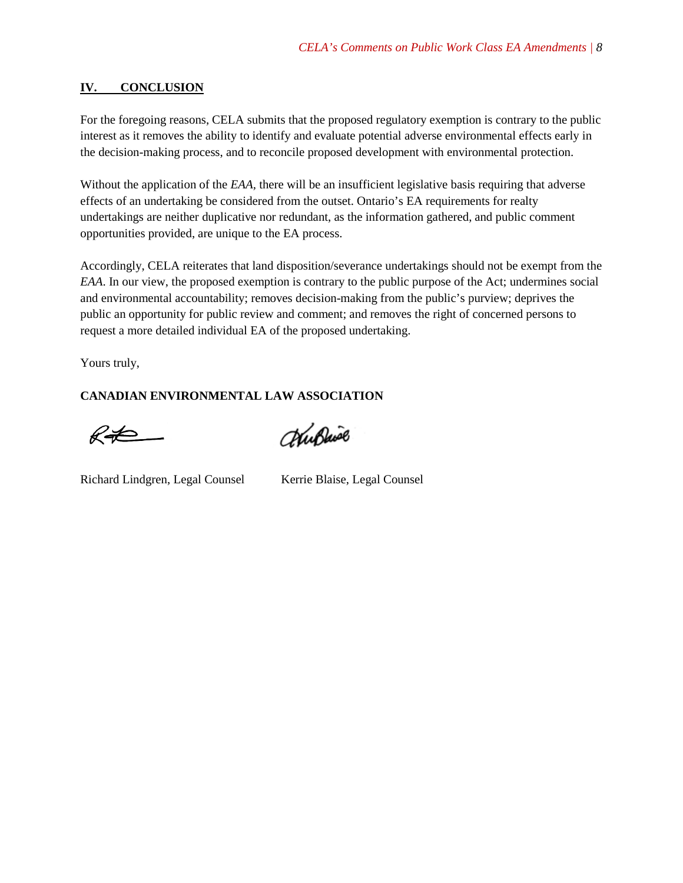#### **IV. CONCLUSION**

For the foregoing reasons, CELA submits that the proposed regulatory exemption is contrary to the public interest as it removes the ability to identify and evaluate potential adverse environmental effects early in the decision-making process, and to reconcile proposed development with environmental protection.

Without the application of the *EAA*, there will be an insufficient legislative basis requiring that adverse effects of an undertaking be considered from the outset. Ontario's EA requirements for realty undertakings are neither duplicative nor redundant, as the information gathered, and public comment opportunities provided, are unique to the EA process.

Accordingly, CELA reiterates that land disposition/severance undertakings should not be exempt from the *EAA*. In our view, the proposed exemption is contrary to the public purpose of the Act; undermines social and environmental accountability; removes decision-making from the public's purview; deprives the public an opportunity for public review and comment; and removes the right of concerned persons to request a more detailed individual EA of the proposed undertaking.

Yours truly,

### **CANADIAN ENVIRONMENTAL LAW ASSOCIATION**

 $R\neq$ 

ChuBaise

Richard Lindgren, Legal Counsel Kerrie Blaise, Legal Counsel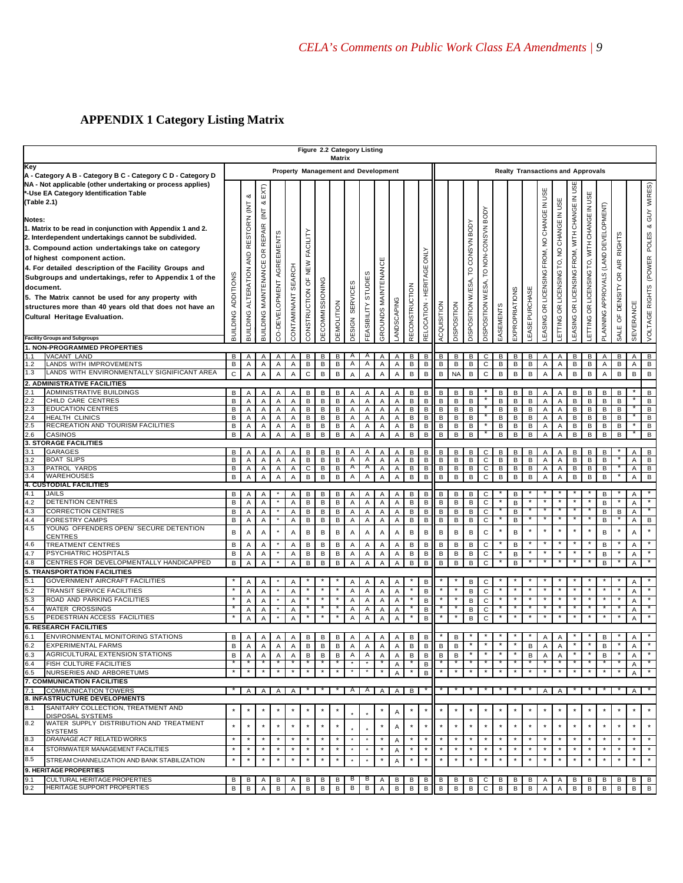# **APPENDIX 1 Category Listing Matrix**

|                                                                                                                                                                                                                                                                                                                                                                                                                                                                                                                                                                                                                                                                                                  |                                                                                                                                                                                                                                              |                                                |                                            |                                                                                            |                                             |                                                                             | Figure 2.2 Category Listing                      |                                                                  | Matrix                               |                                                   |                                      |                                                                                      |                                                |                                            |                                                        |                                                  |                                      |                                            |                                                |                               |                                      |                            |                                                   |                                           |                                              |                                            |                                       |                                                         |                                                              |                                              |
|--------------------------------------------------------------------------------------------------------------------------------------------------------------------------------------------------------------------------------------------------------------------------------------------------------------------------------------------------------------------------------------------------------------------------------------------------------------------------------------------------------------------------------------------------------------------------------------------------------------------------------------------------------------------------------------------------|----------------------------------------------------------------------------------------------------------------------------------------------------------------------------------------------------------------------------------------------|------------------------------------------------|--------------------------------------------|--------------------------------------------------------------------------------------------|---------------------------------------------|-----------------------------------------------------------------------------|--------------------------------------------------|------------------------------------------------------------------|--------------------------------------|---------------------------------------------------|--------------------------------------|--------------------------------------------------------------------------------------|------------------------------------------------|--------------------------------------------|--------------------------------------------------------|--------------------------------------------------|--------------------------------------|--------------------------------------------|------------------------------------------------|-------------------------------|--------------------------------------|----------------------------|---------------------------------------------------|-------------------------------------------|----------------------------------------------|--------------------------------------------|---------------------------------------|---------------------------------------------------------|--------------------------------------------------------------|----------------------------------------------|
| Key                                                                                                                                                                                                                                                                                                                                                                                                                                                                                                                                                                                                                                                                                              |                                                                                                                                                                                                                                              | Property Management and Development            |                                            |                                                                                            |                                             |                                                                             |                                                  |                                                                  |                                      |                                                   |                                      |                                                                                      |                                                |                                            | <b>Realty Transactions and Approvals</b>               |                                                  |                                      |                                            |                                                |                               |                                      |                            |                                                   |                                           |                                              |                                            |                                       |                                                         |                                                              |                                              |
| A - Category A B - Category B C - Category C D - Category D<br>NA - Not applicable (other undertaking or process applies)<br>*-Use EA Category Identification Table<br>(Table 2.1)<br>Notes:<br>1. Matrix to be read in conjunction with Appendix 1 and 2.<br>2. Interdependent undertakings cannot be subdivided.<br>3. Compound action undertakings take on category<br>of highest component action.<br>4. For detailed description of the Facility Groups and<br>Subgroups and undertakings, refer to Appendix 1 of the<br>document.<br>5. The Matrix cannot be used for any property with<br>structures more than 40 years old that does not have an<br><b>Cultural Heritage Evaluation.</b> |                                                                                                                                                                                                                                              | ADDITIONS<br>BUILDING                          | ಯ<br>BUILDING ALTERATION AND RESTOR'N (INT | EXT<br>య<br>$\overline{\mathsf{E}}$<br><b>REPAIR</b><br>$\epsilon$<br>BUILDING MAINTENANCE | AGREEMENTS<br>CO-DEVELOPMENT                | SEARCH<br>CONTAMINANT                                                       | FACILITY<br>NEW<br>CONSTRUCTION OF               | DECOMMISSIONING                                                  | DEMOLITION                           | <b>SERVICES</b><br>DESIGN                         | STUDIES<br>FEASIBILITY               | GROUNDS MAINTENANC                                                                   | LANDSCAPING                                    | <b>RECONSTRUCTION</b>                      | RELOCATION - HERITAGE ONLY                             | ACQUISITION                                      | DISPOSITION                          | TO CONS'VNBODY<br>DISPOSITION W./ESA,      | TO NON-CONS'VN BODY<br>ESA,<br>DISPOSITION W.  | EASEMENTS                     | EXPROPRIATIONS                       | <b>LEASE PURCHASE</b>      | <b>EASING OR LICENSING FROM, NO CHANGE IN USE</b> | LETTING OR LICENSING TO, NO CHANGE IN USE | EASING OR LICENSING FROM, WITH CHANGE IN USE | ETTING OR LICENSING TO, WITH CHANGE IN USI | PLANNING APPROVALS (LAND DEVELOPMENT) | AIR RIGHTS<br>DENSITY OR<br>$\overline{\sigma}$<br>SALE | SEVERANCE                                                    | VOLTAGE RIGHTS (POWER POLES & GUY WIRES)     |
|                                                                                                                                                                                                                                                                                                                                                                                                                                                                                                                                                                                                                                                                                                  | <b>Facility Groups and Subgroups</b><br><b>1. NON-PROGRAMMED PROPERTIES</b>                                                                                                                                                                  |                                                |                                            |                                                                                            |                                             |                                                                             |                                                  |                                                                  |                                      |                                                   |                                      |                                                                                      |                                                |                                            |                                                        |                                                  |                                      |                                            |                                                |                               |                                      |                            |                                                   |                                           |                                              |                                            |                                       |                                                         |                                                              |                                              |
| 1.1<br>1.2<br>1.3                                                                                                                                                                                                                                                                                                                                                                                                                                                                                                                                                                                                                                                                                | VACANT LAND<br>LANDS WITH IMPROVEMENTS<br>LANDS WITH ENVIRONMENTALLY SIGNIFICANT AREA<br>2. ADMINISTRATIVE FACILITIES                                                                                                                        | в<br>В<br>$\mathsf C$                          | Α<br>A<br>A                                | Α<br>Α<br>A                                                                                | Α<br>А<br>A                                 | Α<br>A<br>$\overline{A}$                                                    | в<br>$\, {\bf B}$<br>$\mathsf{C}$                | в<br>$\, {\bf B}$<br>$\sf{B}$                                    | в<br>в<br>B                          | Α<br>Α<br>$\overline{A}$                          | A<br>A<br>$\overline{A}$             | Α<br>Α<br>A                                                                          | Α<br>$\mathsf A$<br>A                          | в<br>в<br>B                                | в<br>$\sf B$<br>B                                      | B<br>В<br>B                                      | B<br>в<br><b>NA</b>                  | В<br>$\, {\bf B}$<br>B                     | С<br>$\mathbf C$<br>$\mathsf{C}$               | В<br>B<br>B                   | в<br>в<br>B                          | В<br>B<br>B                | Α<br>А<br>A                                       | Α<br>A<br>A                               | В<br>B<br>B                                  | в<br>$\sf B$<br>$\,$ B                     | Α<br>A<br>A                           | в<br>B<br>$\, {\bf B}$                                  | Α<br>A<br>$\, {\bf B}$                                       | B<br>В<br>B                                  |
| 2.1<br>2.2<br>2.3<br>2.4<br>2.5<br>2.6                                                                                                                                                                                                                                                                                                                                                                                                                                                                                                                                                                                                                                                           | ADMINISTRATIVE BUILDINGS<br>CHILD CARE CENTRES<br><b>EDUCATION CENTRES</b><br><b>HEALTH CLINICS</b><br>RECREATION AND TOURISM FACILITIES<br><b>CASINOS</b><br>3. STORAGE FACILITIES                                                          | B<br>B<br>B<br>В<br>В<br>В                     | Α<br>Α<br>A<br>Α<br>A<br>A                 | Α<br>Α<br>Α<br>Α<br>A<br>A                                                                 | Α<br>А<br>Α<br>Α<br>А<br>A                  | Α<br>$\overline{A}$<br>A<br>$\overline{A}$<br>$\overline{A}$<br>A           | В<br>B<br>B<br>B<br>B<br>$\overline{B}$          | В<br>$\, {\bf B}$<br>$\sf B$<br>В<br>B<br>B                      | В<br>в<br>B<br>в<br>B<br>B           | Α<br>Α<br>Α<br>Α<br>Α<br>Α                        | Α<br>Α<br>A<br>Α<br>Α<br>Α           | Α<br>Α<br>Α<br>Α<br>Α<br>Α                                                           | Α<br>Α<br>$\mathsf A$<br>Α<br>Α<br>Α           | B<br>В<br>B<br>B<br>B<br>$\overline{B}$    | В<br>В<br>B<br>в<br>В<br>B                             | B<br>В<br>B<br>B<br>B<br>B                       | B<br>В<br>B<br>B<br>B<br>B           | В<br>B<br>B<br>B<br>B<br>B                 |                                                | В<br>B<br>B<br>B<br>B<br>B    | в<br>в<br>B<br>в<br>B<br>B           | В<br>B<br>B<br>B<br>B<br>B | Α<br>А<br>Α<br>Α<br>Α<br>A                        | Α<br>Α<br>Α<br>Α<br>А<br>Α                | В<br>B<br>B<br>B<br>B<br>B                   | В<br>B<br>$\sf{B}$<br>В<br>B<br>B          | B<br>В<br>B<br>в<br>B<br>B            | в<br>В<br>В<br>в<br>B<br>B                              |                                                              | В<br>в<br>B<br>B<br>B<br>$\overline{B}$      |
| 3.1<br>3.2<br>3.3<br>3.4                                                                                                                                                                                                                                                                                                                                                                                                                                                                                                                                                                                                                                                                         | <b>GARAGES</b><br><b>BOAT SLIPS</b><br>PATROL YARDS<br>WAREHOUSES<br>4. CUSTODIAL FACILITIES                                                                                                                                                 | В<br>В<br>$\, {\bf B}$<br>B                    | Α<br>A<br>$\overline{A}$<br>A              | Α<br>$\boldsymbol{\mathsf{A}}$<br>$\mathsf A$<br>A                                         | Α<br>А<br>$\mathsf A$<br>A                  | A<br>$\overline{A}$<br>$\mathsf A$<br>A                                     | В<br>$\sf B$<br>$\mathsf{C}$<br>B                | В<br>$\, {\bf B}$<br>$\, {\bf B}$<br>$\mathsf B$                 | в<br>В<br>В<br>B                     | Α<br>Α<br>A<br>A                                  | Α<br>Α<br>A<br>A                     | Α<br>A<br>A<br>A                                                                     | Α<br>$\mathsf A$<br>$\mathsf A$<br>$\mathsf A$ | В<br>$\sf{B}$<br>$\, {\sf B}$<br>B         | в<br>$\sf B$<br>$\, {\bf B}$<br>$\sf{B}$               | в<br>$\sf{B}$<br>$\overline{B}$<br>B             | В<br>В<br>$\sf{B}$<br>B              | B<br>$\mathsf B$<br>$\sf{B}$<br>B          | C<br>$\mathsf C$<br>$\overline{C}$<br>C        | В<br>B<br>$\overline{B}$<br>B | в<br>B<br>в<br>B                     | в<br>B<br>B<br>B           | Α<br>Α<br>$\mathsf A$<br>A                        | Α<br>$\mathsf A$<br>A<br>A                | в<br>$\sf{B}$<br>$\, {\bf B}$<br>B           | В<br>$\sf B$<br>$\overline{B}$<br>B        | B<br>В<br>$\, {\bf B}$<br>B           |                                                         | A<br>A<br>$\mathsf A$<br>$\overline{A}$                      | B<br>$\, {\bf B}$<br>$\sf B$<br>$\, {\bf B}$ |
| 4.1<br>4.2<br>4.3<br>4.4<br>4.5<br>4.6<br>4.7<br>4.8                                                                                                                                                                                                                                                                                                                                                                                                                                                                                                                                                                                                                                             | JAILS<br>DETENTION CENTRES<br><b>CORRECTION CENTRES</b><br><b>FORESTRY CAMPS</b><br>YOUNG OFFENDERS OPEN/ SECURE DETENTION<br><b>CENTRES</b><br><b>TREATMENT CENTRES</b><br>PSYCHIATRIC HOSPITALS<br>CENTRES FOR DEVELOPMENTALLY HANDICAPPED | В<br>B<br>$\mathsf B$<br>В<br>B<br>В<br>B<br>B | Α<br>A<br>A<br>Α<br>Α<br>Α<br>Α<br>A       | Α<br>$\overline{A}$<br>A<br>Α<br>A<br>Α<br>A<br>A                                          | ٠                                           | Α<br>$\overline{A}$<br>A<br>Α<br>$\overline{A}$<br>Α<br>A<br>$\overline{A}$ | В<br>$\sf B$<br>$\sf B$<br>B<br>В<br>B<br>B<br>B | В<br>$\, {\bf B}$<br>$\, {\bf B}$<br>в<br>в<br>в<br>$\sf B$<br>B | В<br>в<br>B<br>B<br>B<br>B<br>B<br>B | Α<br>Α<br>A<br>Α<br>Α<br>Α<br>A<br>$\overline{A}$ | Α<br>Α<br>Α<br>Α<br>Α<br>Α<br>Α<br>A | Α<br>Α<br>$\boldsymbol{\mathsf{A}}$<br>Α<br>A<br>Α<br>$\boldsymbol{\mathsf{A}}$<br>A | Α<br>$\mathsf A$<br>Α<br>Α<br>Α<br>Α<br>Α<br>A | в<br>B<br>B<br>B<br>B<br>B<br>$\sf B$<br>B | В<br>$\, {\bf B}$<br>$\sf{B}$<br>В<br>В<br>B<br>B<br>B | В<br>B<br>$\sf B$<br>B<br>B<br>B<br>$\sf B$<br>B | B<br>в<br>B<br>В<br>B<br>B<br>B<br>B | В<br>$\sf B$<br>B<br>B<br>B<br>B<br>B<br>B | С<br>$\mathbf C$<br>C<br>C<br>C<br>C<br>C<br>C |                               | в<br>В<br>B<br>B<br>B<br>B<br>B<br>B |                            | $\star$<br>$\star$<br>$\star$                     |                                           | $\star$                                      | $\star$                                    | В<br>B<br>В<br>В<br>B<br>В<br>B<br>B  | $\, {\bf B}$                                            | Α<br>A<br>A<br>Α<br>A<br>Α<br>Α<br>A                         | B                                            |
| 5.1<br>5.2<br>5.3<br>5.4<br>5.5                                                                                                                                                                                                                                                                                                                                                                                                                                                                                                                                                                                                                                                                  | 5. TRANSPORTATION FACILITIES<br>GOVERNMENT AIRCRAFT FACILITIES<br>TRANSIT SERVICE FACILITIES<br>ROAD AND PARKING FACILITIES<br><b>WATER CROSSINGS</b><br>PEDESTRIAN ACCESS FACILITIES<br><b>6. RESEARCH FACILITIES</b>                       | $\star$<br>$\star$                             | Α<br>A<br>Α<br>Α<br>A                      | Α<br>Α<br>$\overline{A}$<br>Α<br>A                                                         | $\star$                                     | $\overline{A}$<br>$\overline{A}$<br>A<br>$\overline{A}$<br>$\overline{A}$   | $\star$<br>$\star$                               | $\star$<br>$\star$                                               | $\star$<br>$\star$                   | Α<br>A<br>A<br>Α<br>A                             | Α<br>Α<br>Α<br>Α<br>A                | Α<br>A<br>$\boldsymbol{\mathsf{A}}$<br>Α<br>A                                        | A<br>A<br>A<br>$\overline{\mathsf{A}}$<br>A    | $\star$<br>$\star$                         | В<br>B<br>B<br>B<br>B                                  | $\star$                                          | $\pmb{\ast}$                         | B<br>B<br>B<br>B<br>B                      | С<br>C<br>$\mathsf{C}$<br>$\mathbf C$<br>C     |                               |                                      | $\star$                    | $\star$                                           |                                           | $\star$                                      | $\star$                                    |                                       |                                                         | Α<br>A<br>A<br>$\overline{A}$<br>Α                           | $\star$                                      |
| 6.1<br>6.2<br>6.3<br>6.4<br>6.5                                                                                                                                                                                                                                                                                                                                                                                                                                                                                                                                                                                                                                                                  | ENVIRONMENTAL MONITORING STATIONS<br><b>EXPERIMENTAL FARMS</b><br><b>AGRICULTURAL EXTENSION STATIONS</b><br><b>FISH CULTURE FACILITIES</b><br>NURSERIES AND ARBORETUMS<br>7. COMMUNICATION FACILITIES                                        | B<br>в<br>В<br>$\overline{\ast}$<br>$\star$    | Α<br>Α<br>Α<br>$\ast$                      | A<br>A<br>Α<br>$\overline{\ast}$                                                           | Α<br>Α<br>Α<br>$\overline{\ast}$<br>$\star$ | Α<br>A<br>Α<br>$\star$<br>$\star$                                           | В<br>В<br>B<br>$\star$<br>$\star$                | В<br>в<br>В<br>$\star$                                           | B<br>в<br>B<br>¥<br>¥                | Α<br>A<br>Α<br>$\star$<br>$\star$                 | A<br>A<br>Α<br>$\star$               | A<br>A<br>Α<br>$\ast$<br>$\star$                                                     | A<br>Α<br>Α<br>Α<br>A                          | В<br>В<br>В<br>$\star$<br>$\star$          | $\sf{B}$<br>В<br>B<br>В<br>B                           | в<br>В<br>$\ast$<br>$\star$                      | B<br>в<br>B<br>$\ast$<br>$\star$     | $\star$                                    |                                                |                               |                                      | в<br>В<br>$\star$          | Α<br>Α<br>$\star$                                 | Α<br>Α<br>$\star$                         | $\star$                                      |                                            | B<br>B<br>B<br>$\star$                | $\star$<br>$\pmb{\ast}$                                 | $\overline{A}$<br>$\overline{A}$<br>Α<br>Α<br>$\overline{A}$ |                                              |
| 7.1                                                                                                                                                                                                                                                                                                                                                                                                                                                                                                                                                                                                                                                                                              | <b>COMMUNICATION TOWERS</b><br>8. INFASTRUCTURE DEVELOPMENTS                                                                                                                                                                                 |                                                | Α                                          | $\mathsf{A}$                                                                               | A                                           | $\overline{A}$                                                              |                                                  |                                                                  |                                      | $\mathsf{A}$                                      | $\overline{A}$                       | $\mathsf{A}$                                                                         | $A \mid B$                                     |                                            |                                                        |                                                  |                                      |                                            |                                                |                               |                                      |                            | Α                                                 | Α                                         |                                              |                                            |                                       |                                                         | $\mathsf{A}$                                                 |                                              |
| 8.1<br>8.2<br>8.3                                                                                                                                                                                                                                                                                                                                                                                                                                                                                                                                                                                                                                                                                | SANITARY COLLECTION, TREATMENT AND<br>DISPOSAL SYSTEMS<br>WATER SUPPLY DISTRIBUTION AND TREATMENT<br><b>SYSTEMS</b><br>DRAINAGE ACT RELATED WORKS                                                                                            | $\star$<br>$\star$<br>$\pmb{\ast}$             | $\star$<br>$\star$<br>$\star$              | $\star$<br>$\star$<br>$\star$                                                              | $\star$<br>$\star$<br>$\star$               | $\pmb{\ast}$<br>$\star$<br>$\star$                                          | $\star$<br>$\star$                               | $\star$<br>$\star$                                               | $\star$<br>$\star$                   | $\star$                                           | $\star$                              | $\star$                                                                              | Α<br>Α<br>Α                                    | $\star$                                    | $\star$                                                | $\star$                                          | $\star$<br>$\pmb{\ast}$              | $\star$<br>$\star$                         | $\star$                                        | $\star$                       | $\star$                              | $\star$                    | $\star$<br>$\star$                                | $\star$                                   | $\star$<br>$\star$                           | $\star$                                    | $\star$                               | $\star$                                                 | $\star$<br>$\star$                                           | $\star$<br>$\star$                           |
| 8.4<br>8.5                                                                                                                                                                                                                                                                                                                                                                                                                                                                                                                                                                                                                                                                                       | STORMWATER MANAGEMENT FACILITIES<br>STREAM CHANNELIZATION AND BANK STABILIZATION<br>9. HERITAGE PROPERTIES                                                                                                                                   | $\pmb{\ast}$<br>$\star$                        | $\star$<br>$\star$                         | $\star$<br>$\star$                                                                         | $\star$<br>$\star$                          | $\pmb{\ast}$<br>$\pmb{\ast}$                                                | $\pmb{\ast}$<br>$\star$                          | $\pmb{\ast}$<br>$\star$                                          | $\star$<br>$\ddot{\star}$            | $\star$<br>$\star$                                | $\star$                              | $\star$<br>$\star$                                                                   | Α<br>A                                         | $\star$<br>$\star$                         | $\star$<br>$\star$                                     | $\star$<br>$\star$                               | $\pmb{\ast}$<br>$\pmb{\ast}$         | $\star$<br>$\star$                         | $\star$                                        | $\star$                       | $\star$                              | $\pmb{\ast}$               | $\star$<br>$\star$                                | $\star$                                   | $\star$<br>$\star$                           | $\star$<br>$\star$                         | $\star$                               | $\star$                                                 | $\star$<br>$\star$                                           | $\star$<br>$\star$                           |
| 9.1<br>9.2                                                                                                                                                                                                                                                                                                                                                                                                                                                                                                                                                                                                                                                                                       | CULTURAL HERITAGE PROPERTIES<br>HERITAGE SUPPORT PROPERTIES                                                                                                                                                                                  | B<br>B                                         | В<br>B                                     | A<br>Α                                                                                     | В<br>B                                      | A<br>$\mathsf{A}$                                                           | в<br>B                                           | B<br>B                                                           | В<br>$\, {\sf B}$                    | в<br>В                                            | в<br>В                               | A<br>$\mathsf{A}$                                                                    | В<br>$\, {\sf B}$                              | В<br>B                                     | B<br>B                                                 | B<br>B                                           | B<br>В                               | В<br>В                                     | C<br>C                                         | В<br>В                        | В<br>В                               | В<br>В                     | Α<br>Α                                            | Α<br>Α                                    | В<br>B                                       | В<br>B                                     | в<br>B                                | в<br>B                                                  | B<br>B                                                       | IB.<br>B                                     |